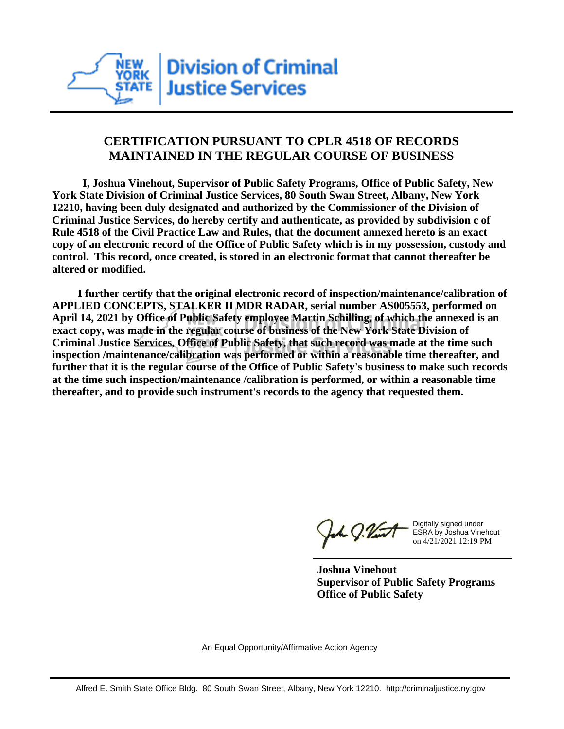

## **CERTIFICATION PURSUANT TO CPLR 4518 OF RECORDS MAINTAINED IN THE REGULAR COURSE OF BUSINESS**

 **I, Joshua Vinehout, Supervisor of Public Safety Programs, Office of Public Safety, New York State Division of Criminal Justice Services, 80 South Swan Street, Albany, New York 12210, having been duly designated and authorized by the Commissioner of the Division of Criminal Justice Services, do hereby certify and authenticate, as provided by subdivision c of Rule 4518 of the Civil Practice Law and Rules, that the document annexed hereto is an exact copy of an electronic record of the Office of Public Safety which is in my possession, custody and control. This record, once created, is stored in an electronic format that cannot thereafter be altered or modified.**

 **I further certify that the original electronic record of inspection/maintenance/calibration of APPLIED CONCEPTS, STALKER II MDR RADAR, serial number AS005553, performed on April 14, 2021 by Office of Public Safety employee Martin Schilling, of which the annexed is an exact copy, was made in the regular course of business of the New York State Division of Criminal Justice Services, Office of Public Safety, that such record was made at the time such inspection /maintenance/calibration was performed or within a reasonable time thereafter, and further that it is the regular course of the Office of Public Safety's business to make such records at the time such inspection/maintenance /calibration is performed, or within a reasonable time thereafter, and to provide such instrument's records to the agency that requested them.**

the g. Vint

Digitally signed under ESRA by Joshua Vinehout on 4/21/2021 12:19 PM

**Joshua Vinehout Supervisor of Public Safety Programs Office of Public Safety**

An Equal Opportunity/Affirmative Action Agency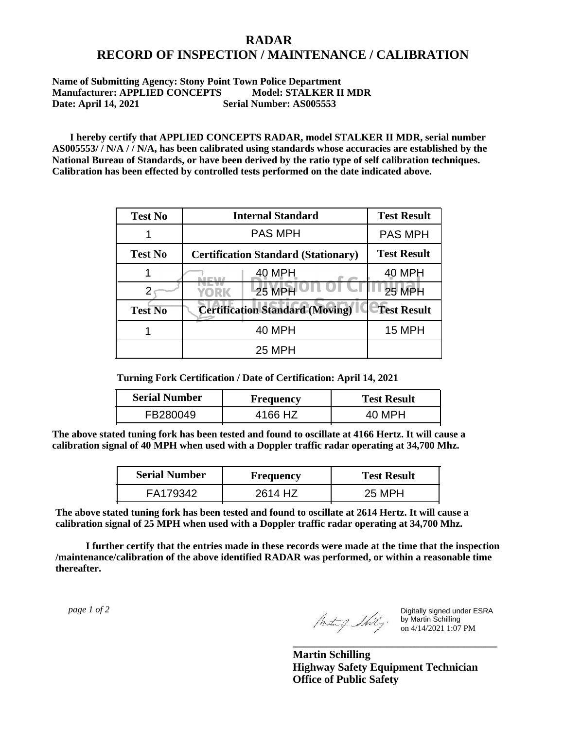## **RADAR RECORD OF INSPECTION / MAINTENANCE / CALIBRATION**

## **Name of Submitting Agency: Stony Point Town Police Department Manufacturer: APPLIED CONCEPTS Model: STALKER II MDR Date: April 14, 2021 Serial Number: AS005553**

 **I hereby certify that APPLIED CONCEPTS RADAR, model STALKER II MDR, serial number AS005553/ / N/A / / N/A, has been calibrated using standards whose accuracies are established by the National Bureau of Standards, or have been derived by the ratio type of self calibration techniques. Calibration has been effected by controlled tests performed on the date indicated above.**

| <b>Test No</b> | <b>Internal Standard</b>                   | <b>Test Result</b> |
|----------------|--------------------------------------------|--------------------|
|                | <b>PAS MPH</b>                             | <b>PAS MPH</b>     |
| <b>Test No</b> | <b>Certification Standard (Stationary)</b> | <b>Test Result</b> |
|                | 40 MPH                                     | 40 MPH             |
|                | <b>25 MPH</b><br>YORK                      | 25 MPH             |
| <b>Test No</b> | <b>Certification Standard (Moving)</b>     | <b>Test Result</b> |
|                | <b>40 MPH</b>                              | <b>15 MPH</b>      |
|                | <b>25 MPH</b>                              |                    |

**Turning Fork Certification / Date of Certification: April 14, 2021**

| <b>Serial Number</b> | <b>Frequency</b> | <b>Test Result</b> |
|----------------------|------------------|--------------------|
| FB280049             | 4166 HZ          | 40 MPH             |

**The above stated tuning fork has been tested and found to oscillate at 4166 Hertz. It will cause a calibration signal of 40 MPH when used with a Doppler traffic radar operating at 34,700 Mhz.**

| <b>Serial Number</b> | Frequency | <b>Test Result</b> |
|----------------------|-----------|--------------------|
| FA179342             | 2614 HZ   | 25 MPH             |

**The above stated tuning fork has been tested and found to oscillate at 2614 Hertz. It will cause a calibration signal of 25 MPH when used with a Doppler traffic radar operating at 34,700 Mhz.**

 **I further certify that the entries made in these records were made at the time that the inspection /maintenance/calibration of the above identified RADAR was performed, or within a reasonable time thereafter.**

 *page 1 of 2* 

Digitally signed under ESRA by Martin Schilling on 4/14/2021 1:07 PM

**Martin Schilling Highway Safety Equipment Technician Office of Public Safety**

**\_\_\_\_\_\_\_\_\_\_\_\_\_\_\_\_\_\_\_\_\_\_\_\_\_\_\_\_\_\_\_\_\_\_\_\_\_**